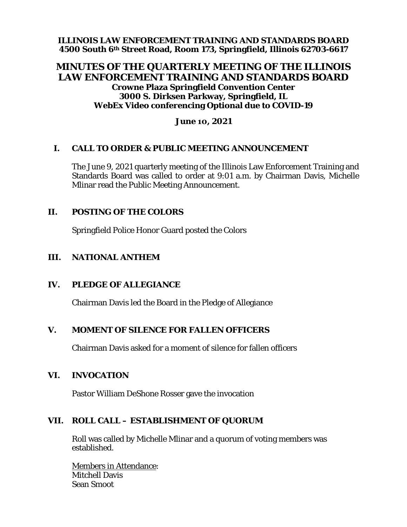**ILLINOIS LAW ENFORCEMENT TRAINING AND STANDARDS BOARD 4500 South 6th Street Road, Room 173, Springfield, Illinois 62703-6617**

## **MINUTES OF THE QUARTERLY MEETING OF THE ILLINOIS LAW ENFORCEMENT TRAINING AND STANDARDS BOARD Crowne Plaza Springfield Convention Center 3000 S. Dirksen Parkway, Springfield, IL WebEx Video conferencing Optional due to COVID-19**

#### **June 10, 2021**

#### **I. CALL TO ORDER & PUBLIC MEETING ANNOUNCEMENT**

The June 9, 2021 quarterly meeting of the Illinois Law Enforcement Training and Standards Board was called to order at 9:01 a.m. by Chairman Davis, Michelle Mlinar read the Public Meeting Announcement.

### **II. POSTING OF THE COLORS**

Springfield Police Honor Guard posted the Colors

### **III. NATIONAL ANTHEM**

#### **IV. PLEDGE OF ALLEGIANCE**

Chairman Davis led the Board in the Pledge of Allegiance

### **V. MOMENT OF SILENCE FOR FALLEN OFFICERS**

Chairman Davis asked for a moment of silence for fallen officers

#### **VI. INVOCATION**

Pastor William DeShone Rosser gave the invocation

### **VII. ROLL CALL – ESTABLISHMENT OF QUORUM**

Roll was called by Michelle Mlinar and a quorum of voting members was established.

Members in Attendance: Mitchell Davis Sean Smoot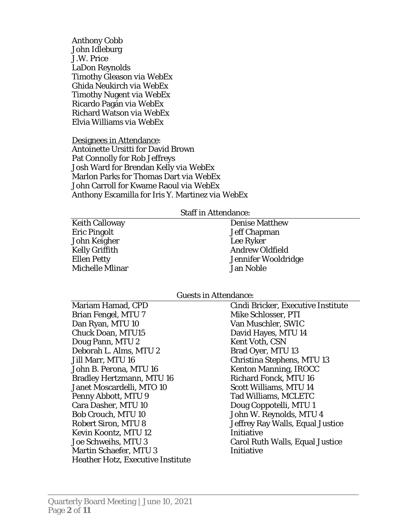Anthony Cobb John Idleburg J.W. Price LaDon Reynolds Timothy Gleason *via WebEx* Ghida Neukirch *via WebEx*  Timothy Nugent *via WebEx* Ricardo Pagán *via WebEx* Richard Watson *via WebEx* Elvia Williams *via WebEx*

Designees in Attendance: Antoinette Ursitti for David Brown Pat Connolly for Rob Jeffreys Josh Ward for Brendan Kelly *via WebEx* Marlon Parks for Thomas Dart *via WebEx* John Carroll for Kwame Raoul *via WebEx* Anthony Escamilla for Iris Y. Martinez *via WebEx*

#### Staff in Attendance:

Keith Calloway Eric Pingolt John Keigher Kelly Griffith Ellen Petty Michelle Mlinar Denise Matthew Jeff Chapman Lee Ryker Andrew Oldfield Jennifer Wooldridge Jan Noble

#### Guests in Attendance:

Mariam Hamad, CPD Brian Fengel, MTU 7 Dan Ryan, MTU 10 Chuck Doan, MTU15 Doug Pann, MTU 2 Deborah L. Alms, MTU 2 Jill Marr, MTU 16 John B. Perona, MTU 16 Bradley Hertzmann, MTU 16 Janet Moscardelli, MTO 10 Penny Abbott, MTU 9 Cara Dasher, MTU 10 Bob Crouch, MTU 10 Robert Siron, MTU 8 Kevin Koontz, MTU 12 Joe Schweihs, MTU 3 Martin Schaefer, MTU 3 Heather Hotz, Executive Institute

Cindi Bricker, Executive Institute Mike Schlosser, PTI Van Muschler, SWIC David Hayes, MTU 14 Kent Voth, CSN Brad Oyer, MTU 13 Christina Stephens, MTU 13 Kenton Manning, IROCC Richard Fonck, MTU 16 Scott Williams, MTU 14 Tad Williams, MCLETC Doug Coppotelli, MTU 1 John W. Reynolds, MTU 4 Jeffrey Ray Walls, Equal Justice Initiative Carol Ruth Walls, Equal Justice Initiative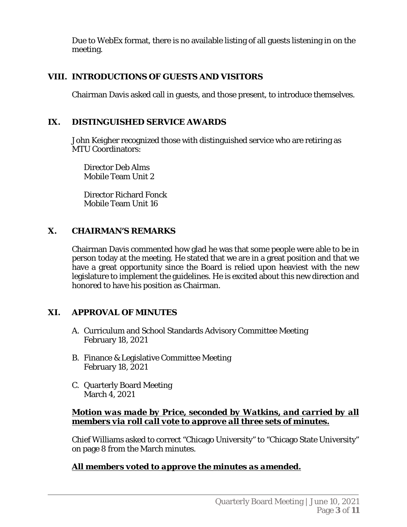Due to WebEx format, there is no available listing of all guests listening in on the meeting.

# **VIII. INTRODUCTIONS OF GUESTS AND VISITORS**

Chairman Davis asked call in guests, and those present, to introduce themselves.

# **IX. DISTINGUISHED SERVICE AWARDS**

John Keigher recognized those with distinguished service who are retiring as MTU Coordinators:

Director Deb Alms Mobile Team Unit 2

Director Richard Fonck Mobile Team Unit 16

# **X. CHAIRMAN'S REMARKS**

Chairman Davis commented how glad he was that some people were able to be in person today at the meeting. He stated that we are in a great position and that we have a great opportunity since the Board is relied upon heaviest with the new legislature to implement the guidelines. He is excited about this new direction and honored to have his position as Chairman.

# **XI. APPROVAL OF MINUTES**

- A. Curriculum and School Standards Advisory Committee Meeting February 18, 2021
- B. Finance & Legislative Committee Meeting February 18, 2021
- C. Quarterly Board Meeting March 4, 2021

## *Motion was made by Price, seconded by Watkins, and carried by all members via roll call vote to approve all three sets of minutes.*

Chief Williams asked to correct "Chicago University" to "Chicago State University" on page 8 from the March minutes.

# *All members voted to approve the minutes as amended.*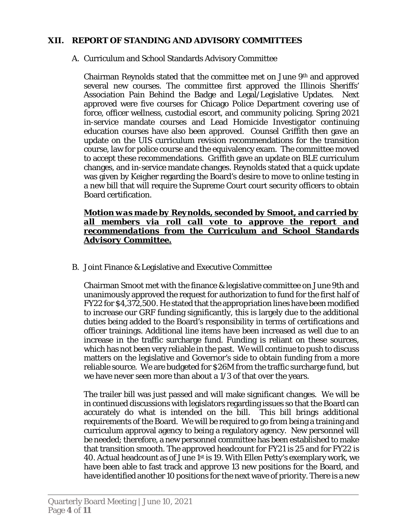## **XII. REPORT OF STANDING AND ADVISORY COMMITTEES**

## A. Curriculum and School Standards Advisory Committee

Chairman Reynolds stated that the committee met on June 9th and approved several new courses. The committee first approved the Illinois Sheriffs' Association Pain Behind the Badge and Legal/Legislative Updates. Next approved were five courses for Chicago Police Department covering use of force, officer wellness, custodial escort, and community policing. Spring 2021 in-service mandate courses and Lead Homicide Investigator continuing education courses have also been approved. Counsel Griffith then gave an update on the UIS curriculum revision recommendations for the transition course, law for police course and the equivalency exam. The committee moved to accept these recommendations. Griffith gave an update on BLE curriculum changes, and in-service mandate changes. Reynolds stated that a quick update was given by Keigher regarding the Board's desire to move to online testing in a new bill that will require the Supreme Court court security officers to obtain Board certification.

### *Motion was made by Reynolds, seconded by Smoot, and carried by all members via roll call vote to approve the report and recommendations from the Curriculum and School Standards Advisory Committee.*

B. Joint Finance & Legislative and Executive Committee

Chairman Smoot met with the finance & legislative committee on June 9th and unanimously approved the request for authorization to fund for the first half of FY22 for \$4,372,500. He stated that the appropriation lines have been modified to increase our GRF funding significantly, this is largely due to the additional duties being added to the Board's responsibility in terms of certifications and officer trainings. Additional line items have been increased as well due to an increase in the traffic surcharge fund. Funding is reliant on these sources, which has not been very reliable in the past. We will continue to push to discuss matters on the legislative and Governor's side to obtain funding from a more reliable source. We are budgeted for \$26M from the traffic surcharge fund, but we have never seen more than about a 1/3 of that over the years.

The trailer bill was just passed and will make significant changes. We will be in continued discussions with legislators regarding issues so that the Board can accurately do what is intended on the bill. This bill brings additional requirements of the Board. We will be required to go from being a training and curriculum approval agency to being a regulatory agency. New personnel will be needed; therefore, a new personnel committee has been established to make that transition smooth. The approved headcount for FY21 is 25 and for FY22 is 40. Actual headcount as of June 1st is 19. With Ellen Petty's exemplary work, we have been able to fast track and approve 13 new positions for the Board, and have identified another 10 positions for the next wave of priority. There is a new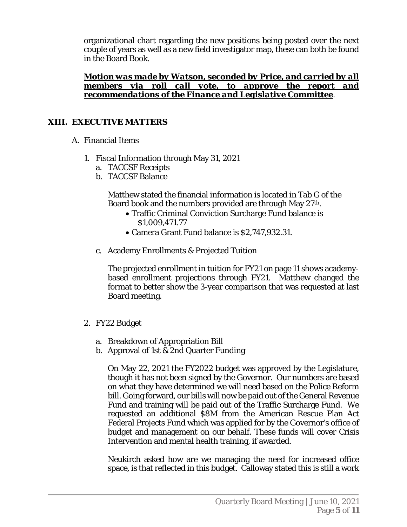organizational chart regarding the new positions being posted over the next couple of years as well as a new field investigator map, these can both be found in the Board Book.

*Motion was made by Watson, seconded by Price, and carried by all members via roll call vote, to approve the report and recommendations of the Finance and Legislative Committee*.

## **XIII. EXECUTIVE MATTERS**

- A. Financial Items
	- 1. Fiscal Information through May 31, 2021
		- a. TACCSF Receipts
		- b. TACCSF Balance

Matthew stated the financial information is located in Tab G of the Board book and the numbers provided are through May 27th.

- Traffic Criminal Conviction Surcharge Fund balance is \$1,009,471.77
- Camera Grant Fund balance is \$2,747,932.31.
- c. Academy Enrollments & Projected Tuition

The projected enrollment in tuition for FY21 on page 11 shows academybased enrollment projections through FY21. Matthew changed the format to better show the 3-year comparison that was requested at last Board meeting.

- 2. FY22 Budget
	- a. Breakdown of Appropriation Bill
	- b. Approval of 1st & 2nd Quarter Funding

On May 22, 2021 the FY2022 budget was approved by the Legislature, though it has not been signed by the Governor. Our numbers are based on what they have determined we will need based on the Police Reform bill. Going forward, our bills will now be paid out of the General Revenue Fund and training will be paid out of the Traffic Surcharge Fund. We requested an additional \$8M from the American Rescue Plan Act Federal Projects Fund which was applied for by the Governor's office of budget and management on our behalf. These funds will cover Crisis Intervention and mental health training, if awarded.

Neukirch asked how are we managing the need for increased office space, is that reflected in this budget. Calloway stated this is still a work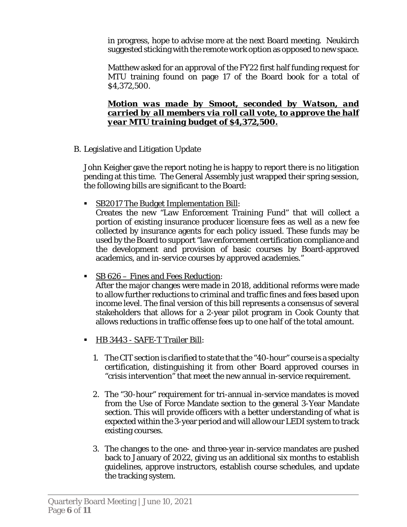in progress, hope to advise more at the next Board meeting. Neukirch suggested sticking with the remote work option as opposed to new space.

Matthew asked for an approval of the FY22 first half funding request for MTU training found on page 17 of the Board book for a total of \$4,372,500.

### *Motion was made by Smoot, seconded by Watson, and carried by all members via roll call vote, to approve the half year MTU training budget of \$4,372,500.*

B. Legislative and Litigation Update

John Keigher gave the report noting he is happy to report there is no litigation pending at this time. The General Assembly just wrapped their spring session, the following bills are significant to the Board:

SB2017 The Budget Implementation Bill:

Creates the new "Law Enforcement Training Fund" that will collect a portion of existing insurance producer licensure fees as well as a new fee collected by insurance agents for each policy issued. These funds may be used by the Board to support "law enforcement certification compliance and the development and provision of basic courses by Board-approved academics, and in-service courses by approved academies."

**SB 626 – Fines and Fees Reduction:** 

After the major changes were made in 2018, additional reforms were made to allow further reductions to criminal and traffic fines and fees based upon income level. The final version of this bill represents a consensus of several stakeholders that allows for a 2-year pilot program in Cook County that allows reductions in traffic offense fees up to one half of the total amount.

- HB 3443 SAFE-T Trailer Bill:
	- 1. The CIT section is clarified to state that the "40-hour" course is a specialty certification, distinguishing it from other Board approved courses in "crisis intervention" that meet the new annual in-service requirement.
	- 2. The "30-hour" requirement for tri-annual in-service mandates is moved from the Use of Force Mandate section to the general 3-Year Mandate section. This will provide officers with a better understanding of what is expected within the 3-year period and will allow our LEDI system to track existing courses.
	- 3. The changes to the one- and three-year in-service mandates are pushed back to January of 2022, giving us an additional six months to establish guidelines, approve instructors, establish course schedules, and update the tracking system.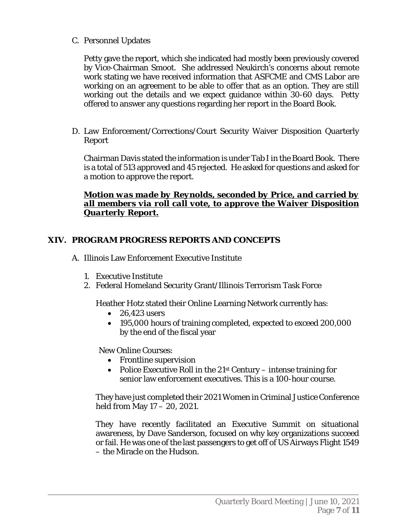C. Personnel Updates

Petty gave the report, which she indicated had mostly been previously covered by Vice-Chairman Smoot. She addressed Neukirch's concerns about remote work stating we have received information that ASFCME and CMS Labor are working on an agreement to be able to offer that as an option. They are still working out the details and we expect guidance within 30-60 days. Petty offered to answer any questions regarding her report in the Board Book.

D. Law Enforcement/Corrections/Court Security Waiver Disposition Quarterly Report

Chairman Davis stated the information is under Tab I in the Board Book. There is a total of 513 approved and 45 rejected. He asked for questions and asked for a motion to approve the report.

## *Motion was made by Reynolds, seconded by Price, and carried by all members via roll call vote, to approve the Waiver Disposition Quarterly Report.*

## **XIV. PROGRAM PROGRESS REPORTS AND CONCEPTS**

- A. Illinois Law Enforcement Executive Institute
	- 1. Executive Institute
	- 2. Federal Homeland Security Grant/Illinois Terrorism Task Force

Heather Hotz stated their Online Learning Network currently has:

- 26,423 users
- 195,000 hours of training completed, expected to exceed 200,000 by the end of the fiscal year

New Online Courses:

- Frontline supervision
- Police Executive Roll in the  $21<sup>st</sup>$  Century intense training for senior law enforcement executives. This is a 100-hour course.

They have just completed their 2021 Women in Criminal Justice Conference held from May 17 – 20, 2021.

They have recently facilitated an Executive Summit on situational awareness, by Dave Sanderson, focused on why key organizations succeed or fail. He was one of the last passengers to get off of US Airways Flight 1549 – the Miracle on the Hudson.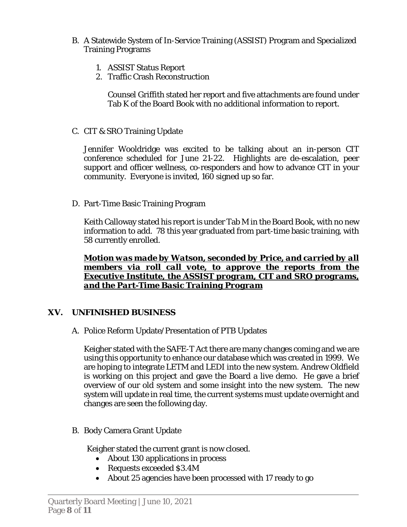- B. A Statewide System of In-Service Training (ASSIST) Program and Specialized Training Programs
	- 1. ASSIST Status Report
	- 2. Traffic Crash Reconstruction

Counsel Griffith stated her report and five attachments are found under Tab K of the Board Book with no additional information to report.

C. CIT & SRO Training Update

Jennifer Wooldridge was excited to be talking about an in-person CIT conference scheduled for June 21-22. Highlights are de-escalation, peer support and officer wellness, co-responders and how to advance CIT in your community. Everyone is invited, 160 signed up so far.

D. Part-Time Basic Training Program

Keith Calloway stated his report is under Tab M in the Board Book, with no new information to add. 78 this year graduated from part-time basic training, with 58 currently enrolled.

*Motion was made by Watson, seconded by Price, and carried by all members via roll call vote, to approve the reports from the Executive Institute, the ASSIST program, CIT and SRO programs, and the Part-Time Basic Training Program* 

# **XV. UNFINISHED BUSINESS**

A. Police Reform Update/Presentation of PTB Updates

Keigher stated with the SAFE-T Act there are many changes coming and we are using this opportunity to enhance our database which was created in 1999. We are hoping to integrate LETM and LEDI into the new system. Andrew Oldfield is working on this project and gave the Board a live demo. He gave a brief overview of our old system and some insight into the new system. The new system will update in real time, the current systems must update overnight and changes are seen the following day.

B. Body Camera Grant Update

Keigher stated the current grant is now closed.

- About 130 applications in process
- Requests exceeded \$3.4M
- About 25 agencies have been processed with 17 ready to go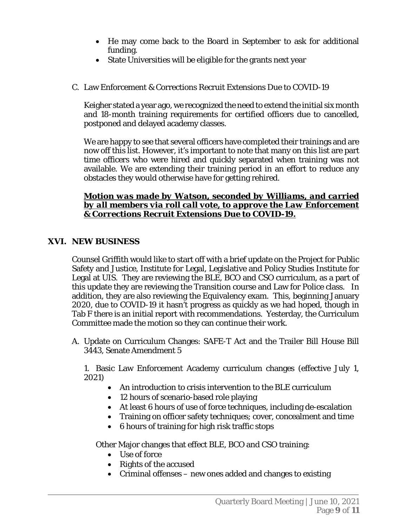- He may come back to the Board in September to ask for additional funding.
- State Universities will be eligible for the grants next year
- C. Law Enforcement & Corrections Recruit Extensions Due to COVID-19

Keigher stated a year ago, we recognized the need to extend the initial six month and 18-month training requirements for certified officers due to cancelled, postponed and delayed academy classes.

We are happy to see that several officers have completed their trainings and are now off this list. However, it's important to note that many on this list are part time officers who were hired and quickly separated when training was not available. We are extending their training period in an effort to reduce any obstacles they would otherwise have for getting rehired.

## *Motion was made by Watson, seconded by Williams, and carried by all members via roll call vote, to approve the Law Enforcement & Corrections Recruit Extensions Due to COVID-19.*

# **XVI. NEW BUSINESS**

Counsel Griffith would like to start off with a brief update on the Project for Public Safety and Justice, Institute for Legal, Legislative and Policy Studies Institute for Legal at UIS. They are reviewing the BLE, BCO and CSO curriculum, as a part of this update they are reviewing the Transition course and Law for Police class. In addition, they are also reviewing the Equivalency exam. This, beginning January 2020, due to COVID-19 it hasn't progress as quickly as we had hoped, though in Tab F there is an initial report with recommendations. Yesterday, the Curriculum Committee made the motion so they can continue their work.

A. Update on Curriculum Changes: SAFE-T Act and the Trailer Bill House Bill 3443, Senate Amendment 5

1. Basic Law Enforcement Academy curriculum changes (effective July 1, 2021)

- An introduction to crisis intervention to the BLE curriculum
- 12 hours of scenario-based role playing
- At least 6 hours of use of force techniques, including de-escalation
- Training on officer safety techniques; cover, concealment and time
- 6 hours of training for high risk traffic stops

Other Major changes that effect BLE, BCO and CSO training:

- Use of force
- Rights of the accused
- Criminal offenses new ones added and changes to existing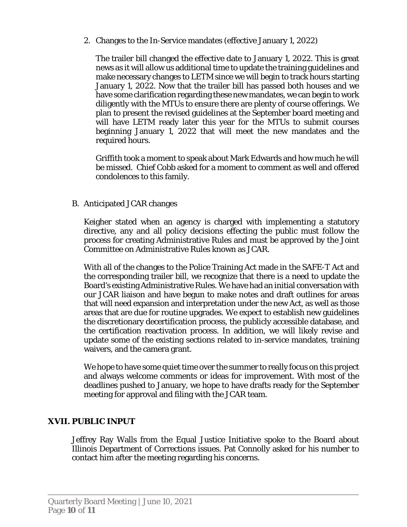2. Changes to the In-Service mandates (effective January 1, 2022)

The trailer bill changed the effective date to January 1, 2022. This is great news as it will allow us additional time to update the training guidelines and make necessary changes to LETM since we will begin to track hours starting January 1, 2022. Now that the trailer bill has passed both houses and we have some clarification regarding these new mandates, we can begin to work diligently with the MTUs to ensure there are plenty of course offerings. We plan to present the revised guidelines at the September board meeting and will have LETM ready later this year for the MTUs to submit courses beginning January 1, 2022 that will meet the new mandates and the required hours.

Griffith took a moment to speak about Mark Edwards and how much he will be missed. Chief Cobb asked for a moment to comment as well and offered condolences to this family.

B. Anticipated JCAR changes

Keigher stated when an agency is charged with implementing a statutory directive, any and all policy decisions effecting the public must follow the process for creating Administrative Rules and must be approved by the Joint Committee on Administrative Rules known as JCAR.

With all of the changes to the Police Training Act made in the SAFE-T Act and the corresponding trailer bill, we recognize that there is a need to update the Board's existing Administrative Rules. We have had an initial conversation with our JCAR liaison and have begun to make notes and draft outlines for areas that will need expansion and interpretation under the new Act, as well as those areas that are due for routine upgrades. We expect to establish new guidelines the discretionary decertification process, the publicly accessible database, and the certification reactivation process. In addition, we will likely revise and update some of the existing sections related to in-service mandates, training waivers, and the camera grant.

We hope to have some quiet time over the summer to really focus on this project and always welcome comments or ideas for improvement. With most of the deadlines pushed to January, we hope to have drafts ready for the September meeting for approval and filing with the JCAR team.

## **XVII. PUBLIC INPUT**

Jeffrey Ray Walls from the Equal Justice Initiative spoke to the Board about Illinois Department of Corrections issues. Pat Connolly asked for his number to contact him after the meeting regarding his concerns.